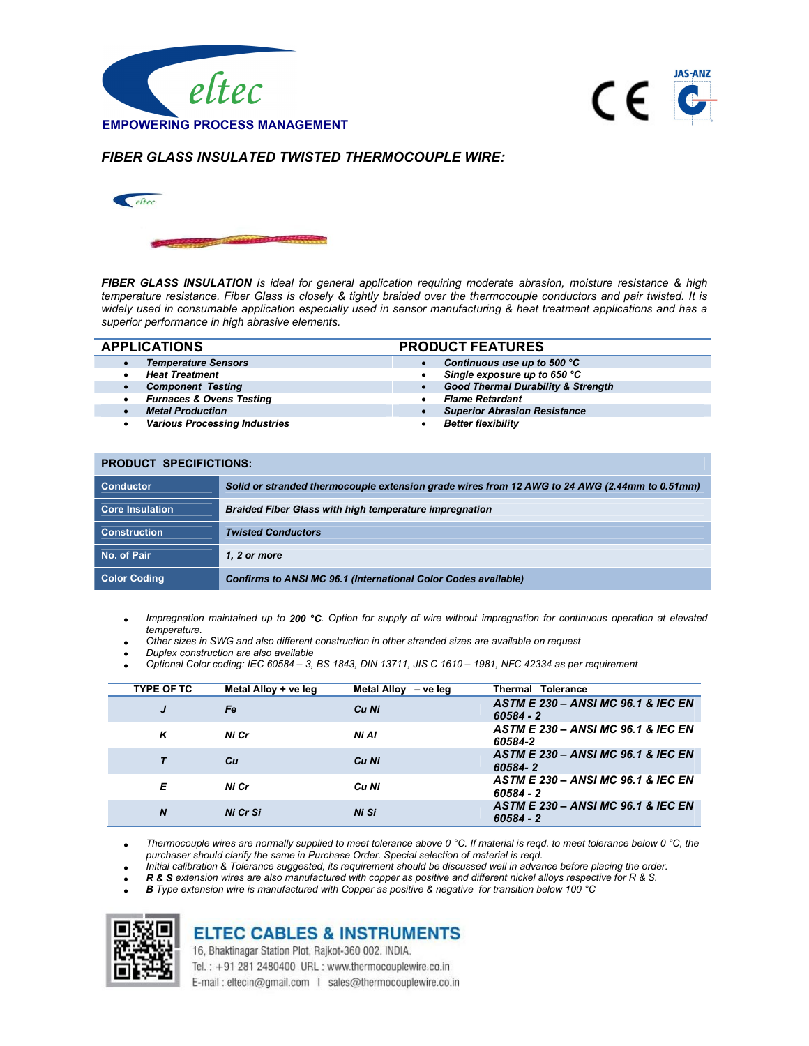



### FIBER GLASS INSULATED TWISTED THERMOCOUPLE WIRE:



FIBER GLASS INSULATION is ideal for general application requiring moderate abrasion, moisture resistance & high temperature resistance. Fiber Glass is closely & tightly braided over the thermocouple conductors and pair twisted. It is widely used in consumable application especially used in sensor manufacturing & heat treatment applications and has a superior performance in high abrasive elements.

| <b>APPLICATIONS</b> |                                      | <b>PRODUCT FEATURES</b>                       |  |  |
|---------------------|--------------------------------------|-----------------------------------------------|--|--|
|                     | <b>Temperature Sensors</b>           | Continuous use up to 500 °C                   |  |  |
|                     | <b>Heat Treatment</b>                | Single exposure up to 650 °C<br>٠             |  |  |
|                     | <b>Component Testing</b>             | <b>Good Thermal Durability &amp; Strength</b> |  |  |
|                     | <b>Furnaces &amp; Ovens Testing</b>  | <b>Flame Retardant</b>                        |  |  |
|                     | <b>Metal Production</b>              | <b>Superior Abrasion Resistance</b>           |  |  |
|                     | <b>Various Processing Industries</b> | <b>Better flexibility</b>                     |  |  |
|                     |                                      |                                               |  |  |

#### PRODUCT SPECIFICTIONS:

| <b>Conductor</b>       | Solid or stranded thermocouple extension grade wires from 12 AWG to 24 AWG (2.44mm to 0.51mm) |
|------------------------|-----------------------------------------------------------------------------------------------|
| <b>Core Insulation</b> | <b>Braided Fiber Glass with high temperature impregnation</b>                                 |
| <b>Construction</b>    | <b>Twisted Conductors</b>                                                                     |
| No. of Pair            | 1. 2 or more                                                                                  |
| <b>Color Coding</b>    | Confirms to ANSI MC 96.1 (International Color Codes available)                                |

Impregnation maintained up to 200 °C. Option for supply of wire without impregnation for continuous operation at elevated temperature.

- Other sizes in SWG and also different construction in other stranded sizes are available on request
- Duplex construction are also available
- Optional Color coding: IEC 60584 3, BS 1843, DIN 13711, JIS C 1610 1981, NFC 42334 as per requirement

| <b>TYPE OF TC</b> | Metal Alloy + ve leg | Metal Alloy<br>– ve leg | <b>Thermal Tolerance</b>                                     |
|-------------------|----------------------|-------------------------|--------------------------------------------------------------|
| J                 | Fe                   | Cu Ni                   | <b>ASTM E 230 - ANSI MC 96.1 &amp; IEC EN</b><br>$60584 - 2$ |
| ĸ                 | Ni Cr                | Ni Al                   | ASTM E 230 - ANSI MC 96.1 & IEC EN<br>60584-2                |
|                   | Сu                   | Cu Ni                   | <b>ASTM E 230 - ANSI MC 96.1 &amp; IEC EN</b><br>60584-2     |
| Е                 | Ni Cr                | Cu Ni                   | <b>ASTM E 230 - ANSI MC 96.1 &amp; IEC EN</b><br>60584 - 2   |
| $\boldsymbol{N}$  | Ni Cr Si             | Ni Si                   | <b>ASTM E 230 - ANSI MC 96.1 &amp; IEC EN</b><br>$60584 - 2$ |

Thermocouple wires are normally supplied to meet tolerance above 0 °C. If material is reqd. to meet tolerance below 0 °C, the purchaser should clarify the same in Purchase Order. Special selection of material is reqd.

- Initial calibration & Tolerance suggested, its requirement should be discussed well in advance before placing the order.
- R & S extension wires are also manufactured with copper as positive and different nickel alloys respective for R & S.
- B Type extension wire is manufactured with Copper as positive & negative for transition below 100 °C



# **ELTEC CABLES & INSTRUMENTS**

16, Bhaktinagar Station Plot, Rajkot-360 002. INDIA. Tel.: +91 281 2480400 URL: www.thermocouplewire.co.in E-mail: eltecin@gmail.com | sales@thermocouplewire.co.in